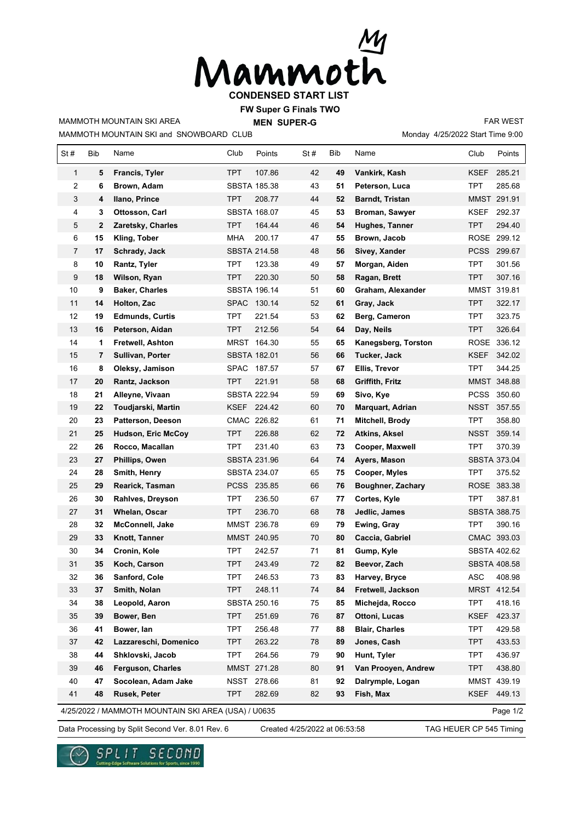

**FW Super G Finals TWO**

MAMMOTH MOUNTAIN SKI and SNOWBOARD CLUB MAMMOTH MOUNTAIN SKI AREA

**MEN SUPER-G** 

Monday 4/25/2022 Start Time 9:00 FAR WEST

| St#                                                             | Bib | Name                      | Club        | Points              | St# | Bib | Name                     | Club        | Points              |  |  |
|-----------------------------------------------------------------|-----|---------------------------|-------------|---------------------|-----|-----|--------------------------|-------------|---------------------|--|--|
| $\mathbf{1}$                                                    | 5   | Francis, Tyler            | <b>TPT</b>  | 107.86              | 42  | 49  | Vankirk, Kash            | KSEF        | 285.21              |  |  |
| 2                                                               | 6   | Brown, Adam               |             | <b>SBSTA 185.38</b> | 43  | 51  | Peterson, Luca           | TPT         | 285.68              |  |  |
| 3                                                               | 4   | Ilano, Prince             | <b>TPT</b>  | 208.77              | 44  | 52  | <b>Barndt, Tristan</b>   |             | MMST 291.91         |  |  |
| 4                                                               | 3   | Ottosson, Carl            |             | <b>SBSTA 168.07</b> | 45  | 53  | Broman, Sawyer           | <b>KSEF</b> | 292.37              |  |  |
| 5                                                               | 2   | Zaretsky, Charles         | <b>TPT</b>  | 164.44              | 46  | 54  | Hughes, Tanner           | <b>TPT</b>  | 294.40              |  |  |
| 6                                                               | 15  | Kling, Tober              | <b>MHA</b>  | 200.17              | 47  | 55  | Brown, Jacob             |             | ROSE 299.12         |  |  |
| 7                                                               | 17  | Schrady, Jack             |             | <b>SBSTA 214.58</b> | 48  | 56  | Sivey, Xander            |             | PCSS 299.67         |  |  |
| 8                                                               | 10  | Rantz, Tyler              | <b>TPT</b>  | 123.38              | 49  | 57  | Morgan, Aiden            | <b>TPT</b>  | 301.56              |  |  |
| 9                                                               | 18  | Wilson, Ryan              | <b>TPT</b>  | 220.30              | 50  | 58  | Ragan, Brett             | TPT         | 307.16              |  |  |
| 10                                                              | 9   | <b>Baker, Charles</b>     |             | <b>SBSTA 196.14</b> | 51  | 60  | Graham, Alexander        |             | MMST 319.81         |  |  |
| 11                                                              | 14  | Holton, Zac               |             | SPAC 130.14         | 52  | 61  | Gray, Jack               | TPT         | 322.17              |  |  |
| 12                                                              | 19  | <b>Edmunds, Curtis</b>    | TPT         | 221.54              | 53  | 62  | Berg, Cameron            | TPT         | 323.75              |  |  |
| 13                                                              | 16  | Peterson, Aidan           | <b>TPT</b>  | 212.56              | 54  | 64  | Day, Neils               | TPT.        | 326.64              |  |  |
| 14                                                              | 1   | <b>Fretwell, Ashton</b>   |             | MRST 164.30         | 55  | 65  | Kanegsberg, Torston      |             | ROSE 336.12         |  |  |
| 15                                                              | 7   | Sullivan, Porter          |             | <b>SBSTA 182.01</b> | 56  | 66  | Tucker, Jack             | <b>KSEF</b> | 342.02              |  |  |
| 16                                                              | 8   | Oleksy, Jamison           |             | SPAC 187.57         | 57  | 67  | Ellis, Trevor            | <b>TPT</b>  | 344.25              |  |  |
| 17                                                              | 20  | Rantz, Jackson            | <b>TPT</b>  | 221.91              | 58  | 68  | Griffith, Fritz          |             | MMST 348.88         |  |  |
| 18                                                              | 21  | Alleyne, Vivaan           |             | <b>SBSTA 222.94</b> | 59  | 69  | Sivo, Kye                | <b>PCSS</b> | 350.60              |  |  |
| 19                                                              | 22  | Toudjarski, Martin        |             | KSEF 224.42         | 60  | 70  | Marquart, Adrian         | NSST        | 357.55              |  |  |
| 20                                                              | 23  | Patterson, Deeson         |             | CMAC 226.82         | 61  | 71  | Mitchell, Brody          | <b>TPT</b>  | 358.80              |  |  |
| 21                                                              | 25  | <b>Hudson, Eric McCoy</b> | <b>TPT</b>  | 226.88              | 62  | 72  | <b>Atkins, Aksel</b>     | NSST        | 359.14              |  |  |
| 22                                                              | 26  | Rocco, Macallan           | TPT         | 231.40              | 63  | 73  | Cooper, Maxwell          | TPT         | 370.39              |  |  |
| 23                                                              | 27  | Phillips, Owen            |             | <b>SBSTA 231.96</b> | 64  | 74  | Ayers, Mason             |             | <b>SBSTA 373.04</b> |  |  |
| 24                                                              | 28  | Smith, Henry              |             | SBSTA 234.07        | 65  | 75  | Cooper, Myles            | <b>TPT</b>  | 375.52              |  |  |
| 25                                                              | 29  | Rearick, Tasman           |             | PCSS 235.85         | 66  | 76  | <b>Boughner, Zachary</b> |             | ROSE 383.38         |  |  |
| 26                                                              | 30  | Rahlves, Dreyson          | <b>TPT</b>  | 236.50              | 67  | 77  | Cortes, Kyle             | <b>TPT</b>  | 387.81              |  |  |
| 27                                                              | 31  | Whelan, Oscar             | <b>TPT</b>  | 236.70              | 68  | 78  | Jedlic, James            |             | <b>SBSTA 388.75</b> |  |  |
| 28                                                              | 32  | McConnell, Jake           |             | MMST 236.78         | 69  | 79  | Ewing, Gray              | TPT         | 390.16              |  |  |
| 29                                                              | 33  | Knott, Tanner             |             | MMST 240.95         | 70  | 80  | Caccia, Gabriel          |             | CMAC 393.03         |  |  |
| 30                                                              | 34  | Cronin, Kole              | TPT         | 242.57              | 71  | 81  | Gump, Kyle               |             | SBSTA 402.62        |  |  |
| 31                                                              | 35  | Koch, Carson              | <b>TPT</b>  | 243.49              | 72  | 82  | Beevor, Zach             |             | <b>SBSTA 408.58</b> |  |  |
| 32                                                              | 36  | <b>Sanford, Cole</b>      | TPT         | 246.53              | 73  | 83  | Harvey, Bryce            | <b>ASC</b>  | 408.98              |  |  |
| 33                                                              | 37  | Smith, Nolan              | <b>TPT</b>  | 248.11              | 74  | 84  | Fretwell, Jackson        |             | MRST 412.54         |  |  |
| 34                                                              | 38  | Leopold, Aaron            |             | SBSTA 250.16        | 75  | 85  | Michejda, Rocco          | <b>TPT</b>  | 418.16              |  |  |
| 35                                                              | 39  | Bower, Ben                | <b>TPT</b>  | 251.69              | 76  | 87  | Ottoni, Lucas            | KSEF        | 423.37              |  |  |
| 36                                                              | 41  | Bower, lan                | <b>TPT</b>  | 256.48              | 77  | 88  | <b>Blair, Charles</b>    | <b>TPT</b>  | 429.58              |  |  |
| 37                                                              | 42  | Lazzareschi, Domenico     | <b>TPT</b>  | 263.22              | 78  | 89  | Jones, Cash              | TPT         | 433.53              |  |  |
| 38                                                              | 44  | Shklovski, Jacob          | <b>TPT</b>  | 264.56              | 79  | 90  | Hunt, Tyler              | <b>TPT</b>  | 436.97              |  |  |
| 39                                                              | 46  | Ferguson, Charles         |             | MMST 271.28         | 80  | 91  | Van Prooyen, Andrew      | <b>TPT</b>  | 438.80              |  |  |
| 40                                                              | 47  | Socolean, Adam Jake       | <b>NSST</b> | 278.66              | 81  | 92  | Dalrymple, Logan         |             | MMST 439.19         |  |  |
| 41                                                              | 48  | Rusek, Peter              | <b>TPT</b>  | 282.69              | 82  | 93  | Fish, Max                | KSEF        | 449.13              |  |  |
| 4/25/2022 / MAMMOTH MOUNTAIN SKI AREA (USA) / U0635<br>Page 1/2 |     |                           |             |                     |     |     |                          |             |                     |  |  |

Data Processing by Split Second Ver. 8.01 Rev. 6 Created 4/25/2022 at 06:53:58 TAG HEUER CP 545 Timing

Created 4/25/2022 at 06:53:58